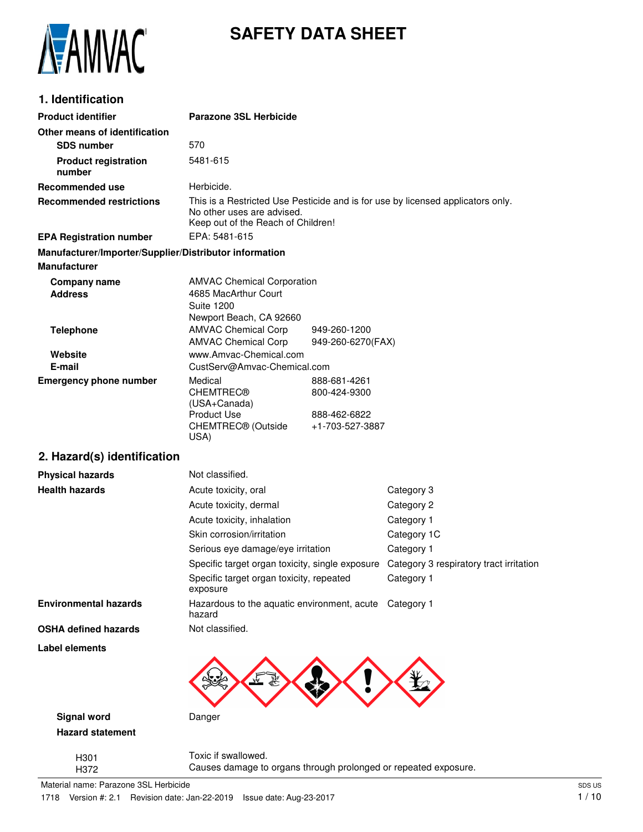

# **SAFETY DATA SHEET**

# **1. Identification**

| <b>Product identifier</b>                              | <b>Parazone 3SL Herbicide</b>                                                                                                                       |                                   |                                         |
|--------------------------------------------------------|-----------------------------------------------------------------------------------------------------------------------------------------------------|-----------------------------------|-----------------------------------------|
| Other means of identification                          |                                                                                                                                                     |                                   |                                         |
| <b>SDS number</b>                                      | 570                                                                                                                                                 |                                   |                                         |
| <b>Product registration</b><br>number                  | 5481-615                                                                                                                                            |                                   |                                         |
| <b>Recommended use</b>                                 | Herbicide.                                                                                                                                          |                                   |                                         |
| <b>Recommended restrictions</b>                        | This is a Restricted Use Pesticide and is for use by licensed applicators only.<br>No other uses are advised.<br>Keep out of the Reach of Children! |                                   |                                         |
| <b>EPA Registration number</b>                         | EPA: 5481-615                                                                                                                                       |                                   |                                         |
| Manufacturer/Importer/Supplier/Distributor information |                                                                                                                                                     |                                   |                                         |
| <b>Manufacturer</b>                                    |                                                                                                                                                     |                                   |                                         |
| Company name<br><b>Address</b>                         | <b>AMVAC Chemical Corporation</b><br>4685 MacArthur Court<br><b>Suite 1200</b><br>Newport Beach, CA 92660                                           |                                   |                                         |
| <b>Telephone</b>                                       | <b>AMVAC Chemical Corp</b><br><b>AMVAC Chemical Corp</b>                                                                                            | 949-260-1200<br>949-260-6270(FAX) |                                         |
| Website                                                | www.Amvac-Chemical.com                                                                                                                              |                                   |                                         |
| E-mail                                                 | CustServ@Amvac-Chemical.com                                                                                                                         |                                   |                                         |
| <b>Emergency phone number</b>                          | Medical<br><b>CHEMTREC®</b><br>(USA+Canada)                                                                                                         | 888-681-4261<br>800-424-9300      |                                         |
|                                                        | <b>Product Use</b><br>CHEMTREC® (Outside<br>USA)                                                                                                    | 888-462-6822<br>+1-703-527-3887   |                                         |
| 2. Hazard(s) identification                            |                                                                                                                                                     |                                   |                                         |
| <b>Physical hazards</b>                                | Not classified.                                                                                                                                     |                                   |                                         |
| <b>Health hazards</b>                                  | Acute toxicity, oral                                                                                                                                |                                   | Category 3                              |
|                                                        | Acute toxicity, dermal                                                                                                                              |                                   | Category 2                              |
|                                                        | Acute toxicity, inhalation                                                                                                                          |                                   | Category 1                              |
|                                                        | Skin corrosion/irritation                                                                                                                           |                                   | Category 1C                             |
|                                                        | Serious eye damage/eye irritation                                                                                                                   |                                   | Category 1                              |
|                                                        | Specific target organ toxicity, single exposure                                                                                                     |                                   | Category 3 respiratory tract irritation |
|                                                        | Specific target organ toxicity, repeated<br>exposure                                                                                                |                                   | Category 1                              |
| <b>Environmental hazards</b>                           | Hazardous to the aquatic environment, acute Category 1<br>hazard                                                                                    |                                   |                                         |
| <b>OSHA defined hazards</b>                            | Not classified.                                                                                                                                     |                                   |                                         |
| <b>Label elements</b>                                  |                                                                                                                                                     |                                   |                                         |
| <b>Signal word</b>                                     | Danger                                                                                                                                              |                                   |                                         |
| <b>Hazard statement</b>                                |                                                                                                                                                     |                                   |                                         |
| H <sub>301</sub><br>H372                               | Toxic if swallowed.<br>Causes damage to organs through prolonged or repeated exposure.                                                              |                                   |                                         |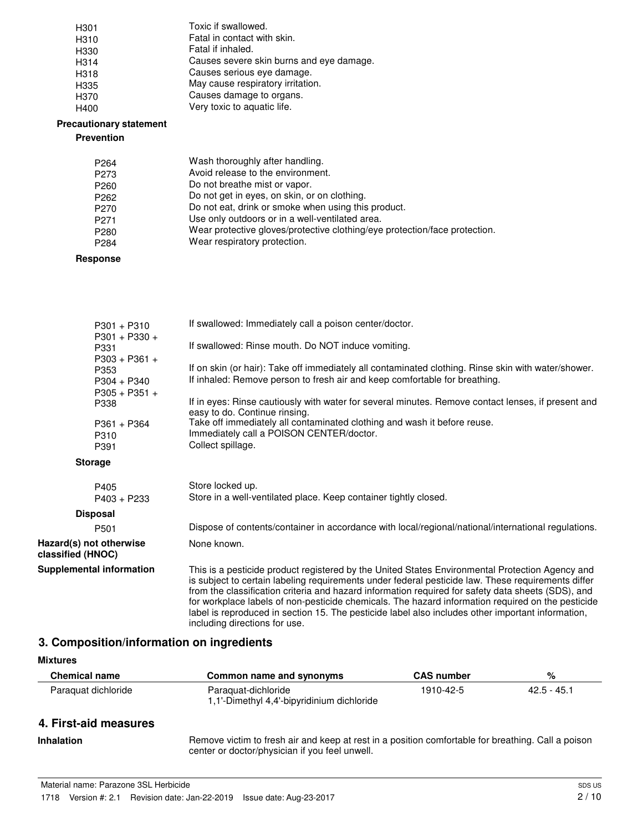| H <sub>301</sub>  | Toxic if swallowed.                      |
|-------------------|------------------------------------------|
| H310              | Fatal in contact with skin.              |
| H330              | Fatal if inhaled.                        |
| H <sub>3</sub> 14 | Causes severe skin burns and eye damage. |
| H318              | Causes serious eye damage.               |
| H335              | May cause respiratory irritation.        |
| H <sub>370</sub>  | Causes damage to organs.                 |
| H400              | Very toxic to aquatic life.              |

### **Precautionary statement**

### **Prevention**

| P <sub>264</sub> | Wash thoroughly after handling.                                            |
|------------------|----------------------------------------------------------------------------|
| P <sub>273</sub> | Avoid release to the environment.                                          |
| P <sub>260</sub> | Do not breathe mist or vapor.                                              |
| P <sub>262</sub> | Do not get in eyes, on skin, or on clothing.                               |
| P <sub>270</sub> | Do not eat, drink or smoke when using this product.                        |
| P <sub>271</sub> | Use only outdoors or in a well-ventilated area.                            |
| P <sub>280</sub> | Wear protective gloves/protective clothing/eye protection/face protection. |
| P <sub>284</sub> | Wear respiratory protection.                                               |
|                  |                                                                            |

### **Response**

| $P301 + P310$                                | If swallowed: Immediately call a poison center/doctor.                                                                                                                                                                                                                                                                                                                                                                                                                                                                                                 |
|----------------------------------------------|--------------------------------------------------------------------------------------------------------------------------------------------------------------------------------------------------------------------------------------------------------------------------------------------------------------------------------------------------------------------------------------------------------------------------------------------------------------------------------------------------------------------------------------------------------|
| $P301 + P330 +$<br>P331                      | If swallowed: Rinse mouth. Do NOT induce vomiting.                                                                                                                                                                                                                                                                                                                                                                                                                                                                                                     |
| $P303 + P361 +$<br>P353<br>$P304 + P340$     | If on skin (or hair): Take off immediately all contaminated clothing. Rinse skin with water/shower.<br>If inhaled: Remove person to fresh air and keep comfortable for breathing.                                                                                                                                                                                                                                                                                                                                                                      |
| $P305 + P351 +$<br>P338                      | If in eyes: Rinse cautiously with water for several minutes. Remove contact lenses, if present and<br>easy to do. Continue rinsing.                                                                                                                                                                                                                                                                                                                                                                                                                    |
| $P361 + P364$<br>P310<br>P391                | Take off immediately all contaminated clothing and wash it before reuse.<br>Immediately call a POISON CENTER/doctor.<br>Collect spillage.                                                                                                                                                                                                                                                                                                                                                                                                              |
| <b>Storage</b>                               |                                                                                                                                                                                                                                                                                                                                                                                                                                                                                                                                                        |
| P405<br>$P403 + P233$                        | Store locked up.<br>Store in a well-ventilated place. Keep container tightly closed.                                                                                                                                                                                                                                                                                                                                                                                                                                                                   |
| <b>Disposal</b>                              |                                                                                                                                                                                                                                                                                                                                                                                                                                                                                                                                                        |
| P <sub>501</sub>                             | Dispose of contents/container in accordance with local/regional/national/international regulations.                                                                                                                                                                                                                                                                                                                                                                                                                                                    |
| Hazard(s) not otherwise<br>classified (HNOC) | None known.                                                                                                                                                                                                                                                                                                                                                                                                                                                                                                                                            |
| <b>Supplemental information</b>              | This is a pesticide product registered by the United States Environmental Protection Agency and<br>is subject to certain labeling requirements under federal pesticide law. These requirements differ<br>from the classification criteria and hazard information required for safety data sheets (SDS), and<br>for workplace labels of non-pesticide chemicals. The hazard information required on the pesticide<br>label is reproduced in section 15. The pesticide label also includes other important information,<br>including directions for use. |

# **3. Composition/information on ingredients**

# **Mixtures**

| <b>Chemical name</b>  | Common name and synonyms                                                                           | <b>CAS number</b> | %             |
|-----------------------|----------------------------------------------------------------------------------------------------|-------------------|---------------|
| Paraguat dichloride   | Paraguat-dichloride<br>1,1'-Dimethyl 4,4'-bipyridinium dichloride                                  | 1910-42-5         | $42.5 - 45.1$ |
| 4. First-aid measures |                                                                                                    |                   |               |
| <b>Inhalation</b>     | Remove victim to fresh air and keep at rest in a position comfortable for breathing. Call a poison |                   |               |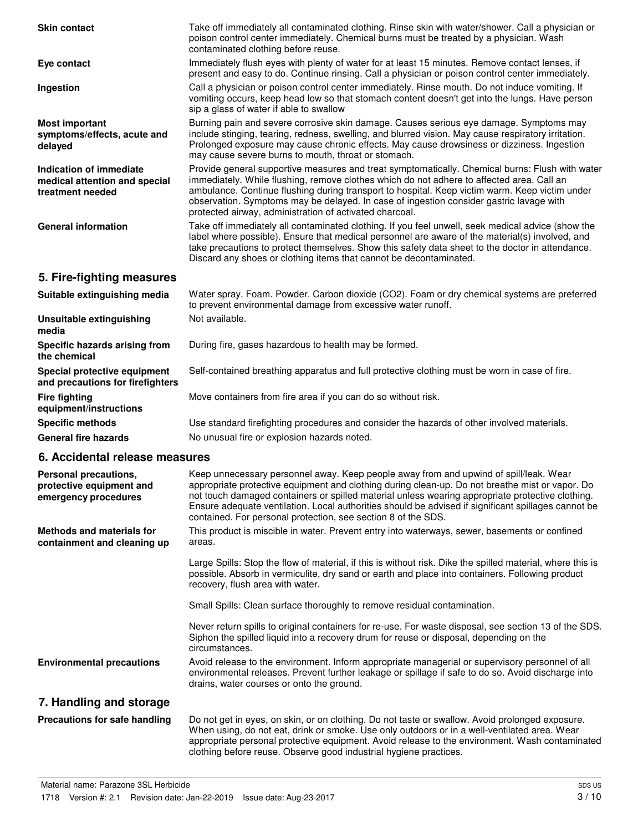| <b>Skin contact</b>                                                          | Take off immediately all contaminated clothing. Rinse skin with water/shower. Call a physician or<br>poison control center immediately. Chemical burns must be treated by a physician. Wash<br>contaminated clothing before reuse.                                                                                                                                                                                                                                   |
|------------------------------------------------------------------------------|----------------------------------------------------------------------------------------------------------------------------------------------------------------------------------------------------------------------------------------------------------------------------------------------------------------------------------------------------------------------------------------------------------------------------------------------------------------------|
| Eye contact                                                                  | Immediately flush eyes with plenty of water for at least 15 minutes. Remove contact lenses, if<br>present and easy to do. Continue rinsing. Call a physician or poison control center immediately.                                                                                                                                                                                                                                                                   |
| Ingestion                                                                    | Call a physician or poison control center immediately. Rinse mouth. Do not induce vomiting. If<br>vomiting occurs, keep head low so that stomach content doesn't get into the lungs. Have person<br>sip a glass of water if able to swallow                                                                                                                                                                                                                          |
| <b>Most important</b><br>symptoms/effects, acute and<br>delayed              | Burning pain and severe corrosive skin damage. Causes serious eye damage. Symptoms may<br>include stinging, tearing, redness, swelling, and blurred vision. May cause respiratory irritation.<br>Prolonged exposure may cause chronic effects. May cause drowsiness or dizziness. Ingestion<br>may cause severe burns to mouth, throat or stomach.                                                                                                                   |
| Indication of immediate<br>medical attention and special<br>treatment needed | Provide general supportive measures and treat symptomatically. Chemical burns: Flush with water<br>immediately. While flushing, remove clothes which do not adhere to affected area. Call an<br>ambulance. Continue flushing during transport to hospital. Keep victim warm. Keep victim under<br>observation. Symptoms may be delayed. In case of ingestion consider gastric lavage with<br>protected airway, administration of activated charcoal.                 |
| <b>General information</b>                                                   | Take off immediately all contaminated clothing. If you feel unwell, seek medical advice (show the<br>label where possible). Ensure that medical personnel are aware of the material(s) involved, and<br>take precautions to protect themselves. Show this safety data sheet to the doctor in attendance.<br>Discard any shoes or clothing items that cannot be decontaminated.                                                                                       |
| 5. Fire-fighting measures                                                    |                                                                                                                                                                                                                                                                                                                                                                                                                                                                      |
| Suitable extinguishing media                                                 | Water spray. Foam. Powder. Carbon dioxide (CO2). Foam or dry chemical systems are preferred<br>to prevent environmental damage from excessive water runoff.                                                                                                                                                                                                                                                                                                          |
| Unsuitable extinguishing<br>media                                            | Not available.                                                                                                                                                                                                                                                                                                                                                                                                                                                       |
| Specific hazards arising from<br>the chemical                                | During fire, gases hazardous to health may be formed.                                                                                                                                                                                                                                                                                                                                                                                                                |
| Special protective equipment<br>and precautions for firefighters             | Self-contained breathing apparatus and full protective clothing must be worn in case of fire.                                                                                                                                                                                                                                                                                                                                                                        |
| <b>Fire fighting</b><br>equipment/instructions                               | Move containers from fire area if you can do so without risk.                                                                                                                                                                                                                                                                                                                                                                                                        |
| <b>Specific methods</b>                                                      | Use standard firefighting procedures and consider the hazards of other involved materials.                                                                                                                                                                                                                                                                                                                                                                           |
| <b>General fire hazards</b>                                                  | No unusual fire or explosion hazards noted.                                                                                                                                                                                                                                                                                                                                                                                                                          |
| 6. Accidental release measures                                               |                                                                                                                                                                                                                                                                                                                                                                                                                                                                      |
| Personal precautions,<br>protective equipment and<br>emergency procedures    | Keep unnecessary personnel away. Keep people away from and upwind of spill/leak. Wear<br>appropriate protective equipment and clothing during clean-up. Do not breathe mist or vapor. Do<br>not touch damaged containers or spilled material unless wearing appropriate protective clothing.<br>Ensure adequate ventilation. Local authorities should be advised if significant spillages cannot be<br>contained. For personal protection, see section 8 of the SDS. |
| <b>Methods and materials for</b><br>containment and cleaning up              | This product is miscible in water. Prevent entry into waterways, sewer, basements or confined<br>areas.                                                                                                                                                                                                                                                                                                                                                              |
|                                                                              | Large Spills: Stop the flow of material, if this is without risk. Dike the spilled material, where this is<br>possible. Absorb in vermiculite, dry sand or earth and place into containers. Following product<br>recovery, flush area with water.                                                                                                                                                                                                                    |
|                                                                              | Small Spills: Clean surface thoroughly to remove residual contamination.                                                                                                                                                                                                                                                                                                                                                                                             |
|                                                                              | Never return spills to original containers for re-use. For waste disposal, see section 13 of the SDS.<br>Siphon the spilled liquid into a recovery drum for reuse or disposal, depending on the<br>circumstances.                                                                                                                                                                                                                                                    |
| <b>Environmental precautions</b>                                             | Avoid release to the environment. Inform appropriate managerial or supervisory personnel of all<br>environmental releases. Prevent further leakage or spillage if safe to do so. Avoid discharge into<br>drains, water courses or onto the ground.                                                                                                                                                                                                                   |
| 7. Handling and storage                                                      |                                                                                                                                                                                                                                                                                                                                                                                                                                                                      |
| <b>Precautions for safe handling</b>                                         | Do not get in eyes, on skin, or on clothing. Do not taste or swallow. Avoid prolonged exposure.<br>When using, do not eat, drink or smoke. Use only outdoors or in a well-ventilated area. Wear<br>appropriate personal protective equipment. Avoid release to the environment. Wash contaminated<br>clothing before reuse. Observe good industrial hygiene practices.                                                                                               |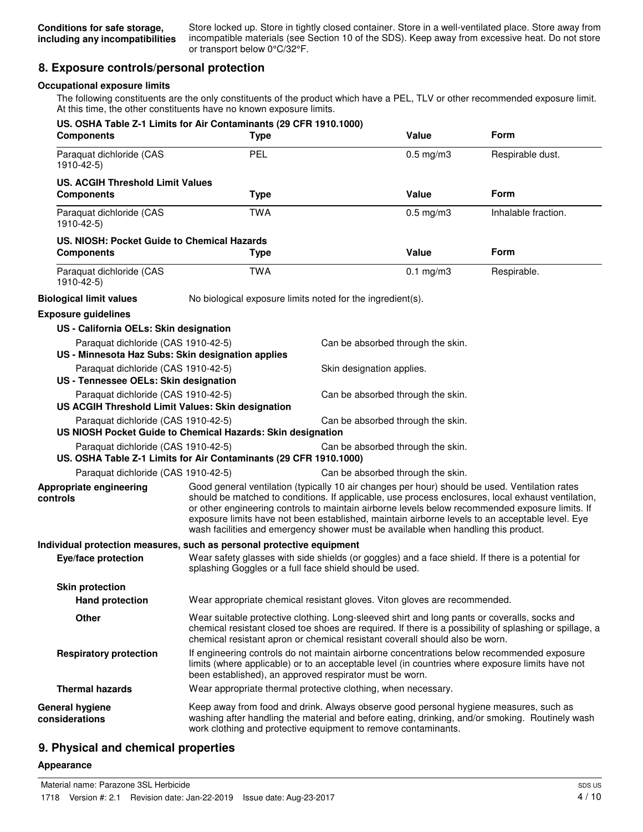Store locked up. Store in tightly closed container. Store in a well-ventilated place. Store away from incompatible materials (see Section 10 of the SDS). Keep away from excessive heat. Do not store or transport below 0°C/32°F.

# **8. Exposure controls/personal protection**

### **Occupational exposure limits**

The following constituents are the only constituents of the product which have a PEL, TLV or other recommended exposure limit. At this time, the other constituents have no known exposure limits.

| <b>Components</b>                                                                        | US. OSHA Table Z-1 Limits for Air Contaminants (29 CFR 1910.1000)<br><b>Type</b>                                                                                                                                                                                                        |                           | Value                             | Form                                                                                                                                                                                                                                                                                                                                                                                                       |
|------------------------------------------------------------------------------------------|-----------------------------------------------------------------------------------------------------------------------------------------------------------------------------------------------------------------------------------------------------------------------------------------|---------------------------|-----------------------------------|------------------------------------------------------------------------------------------------------------------------------------------------------------------------------------------------------------------------------------------------------------------------------------------------------------------------------------------------------------------------------------------------------------|
| Paraquat dichloride (CAS<br>1910-42-5)                                                   | PEL                                                                                                                                                                                                                                                                                     |                           | $0.5$ mg/m $3$                    | Respirable dust.                                                                                                                                                                                                                                                                                                                                                                                           |
| <b>US. ACGIH Threshold Limit Values</b>                                                  |                                                                                                                                                                                                                                                                                         |                           |                                   |                                                                                                                                                                                                                                                                                                                                                                                                            |
| <b>Components</b>                                                                        | <b>Type</b>                                                                                                                                                                                                                                                                             |                           | <b>Value</b>                      | <b>Form</b>                                                                                                                                                                                                                                                                                                                                                                                                |
| Paraquat dichloride (CAS<br>1910-42-5)                                                   | <b>TWA</b>                                                                                                                                                                                                                                                                              |                           | $0.5$ mg/m $3$                    | Inhalable fraction.                                                                                                                                                                                                                                                                                                                                                                                        |
| US. NIOSH: Pocket Guide to Chemical Hazards                                              |                                                                                                                                                                                                                                                                                         |                           |                                   |                                                                                                                                                                                                                                                                                                                                                                                                            |
| <b>Components</b>                                                                        | <b>Type</b>                                                                                                                                                                                                                                                                             |                           | Value                             | Form                                                                                                                                                                                                                                                                                                                                                                                                       |
| Paraquat dichloride (CAS<br>1910-42-5)                                                   | <b>TWA</b>                                                                                                                                                                                                                                                                              |                           | $0.1$ mg/m $3$                    | Respirable.                                                                                                                                                                                                                                                                                                                                                                                                |
| <b>Biological limit values</b>                                                           | No biological exposure limits noted for the ingredient(s).                                                                                                                                                                                                                              |                           |                                   |                                                                                                                                                                                                                                                                                                                                                                                                            |
| <b>Exposure guidelines</b>                                                               |                                                                                                                                                                                                                                                                                         |                           |                                   |                                                                                                                                                                                                                                                                                                                                                                                                            |
| US - California OELs: Skin designation                                                   |                                                                                                                                                                                                                                                                                         |                           |                                   |                                                                                                                                                                                                                                                                                                                                                                                                            |
| Paraquat dichloride (CAS 1910-42-5)<br>US - Minnesota Haz Subs: Skin designation applies |                                                                                                                                                                                                                                                                                         |                           | Can be absorbed through the skin. |                                                                                                                                                                                                                                                                                                                                                                                                            |
| Paraquat dichloride (CAS 1910-42-5)<br>US - Tennessee OELs: Skin designation             |                                                                                                                                                                                                                                                                                         | Skin designation applies. |                                   |                                                                                                                                                                                                                                                                                                                                                                                                            |
| Paraquat dichloride (CAS 1910-42-5)<br>US ACGIH Threshold Limit Values: Skin designation |                                                                                                                                                                                                                                                                                         |                           | Can be absorbed through the skin. |                                                                                                                                                                                                                                                                                                                                                                                                            |
| Paraquat dichloride (CAS 1910-42-5)                                                      | US NIOSH Pocket Guide to Chemical Hazards: Skin designation                                                                                                                                                                                                                             |                           | Can be absorbed through the skin. |                                                                                                                                                                                                                                                                                                                                                                                                            |
| Paraquat dichloride (CAS 1910-42-5)                                                      | US. OSHA Table Z-1 Limits for Air Contaminants (29 CFR 1910.1000)                                                                                                                                                                                                                       |                           | Can be absorbed through the skin. |                                                                                                                                                                                                                                                                                                                                                                                                            |
| Paraquat dichloride (CAS 1910-42-5)                                                      |                                                                                                                                                                                                                                                                                         |                           | Can be absorbed through the skin. |                                                                                                                                                                                                                                                                                                                                                                                                            |
| Appropriate engineering<br>controls                                                      | wash facilities and emergency shower must be available when handling this product.                                                                                                                                                                                                      |                           |                                   | Good general ventilation (typically 10 air changes per hour) should be used. Ventilation rates<br>should be matched to conditions. If applicable, use process enclosures, local exhaust ventilation,<br>or other engineering controls to maintain airborne levels below recommended exposure limits. If<br>exposure limits have not been established, maintain airborne levels to an acceptable level. Eye |
| Individual protection measures, such as personal protective equipment                    |                                                                                                                                                                                                                                                                                         |                           |                                   |                                                                                                                                                                                                                                                                                                                                                                                                            |
| Eye/face protection                                                                      | splashing Goggles or a full face shield should be used.                                                                                                                                                                                                                                 |                           |                                   | Wear safety glasses with side shields (or goggles) and a face shield. If there is a potential for                                                                                                                                                                                                                                                                                                          |
| <b>Skin protection</b>                                                                   |                                                                                                                                                                                                                                                                                         |                           |                                   |                                                                                                                                                                                                                                                                                                                                                                                                            |
| <b>Hand protection</b>                                                                   | Wear appropriate chemical resistant gloves. Viton gloves are recommended.                                                                                                                                                                                                               |                           |                                   |                                                                                                                                                                                                                                                                                                                                                                                                            |
| Other                                                                                    | Wear suitable protective clothing. Long-sleeved shirt and long pants or coveralls, socks and<br>chemical resistant closed toe shoes are required. If there is a possibility of splashing or spillage, a<br>chemical resistant apron or chemical resistant coverall should also be worn. |                           |                                   |                                                                                                                                                                                                                                                                                                                                                                                                            |
| <b>Respiratory protection</b>                                                            | been established), an approved respirator must be worn.                                                                                                                                                                                                                                 |                           |                                   | If engineering controls do not maintain airborne concentrations below recommended exposure<br>limits (where applicable) or to an acceptable level (in countries where exposure limits have not                                                                                                                                                                                                             |
| <b>Thermal hazards</b>                                                                   | Wear appropriate thermal protective clothing, when necessary.                                                                                                                                                                                                                           |                           |                                   |                                                                                                                                                                                                                                                                                                                                                                                                            |
| General hygiene<br>considerations                                                        | Keep away from food and drink. Always observe good personal hygiene measures, such as<br>work clothing and protective equipment to remove contaminants.                                                                                                                                 |                           |                                   | washing after handling the material and before eating, drinking, and/or smoking. Routinely wash                                                                                                                                                                                                                                                                                                            |

# **9. Physical and chemical properties**

#### **Appearance**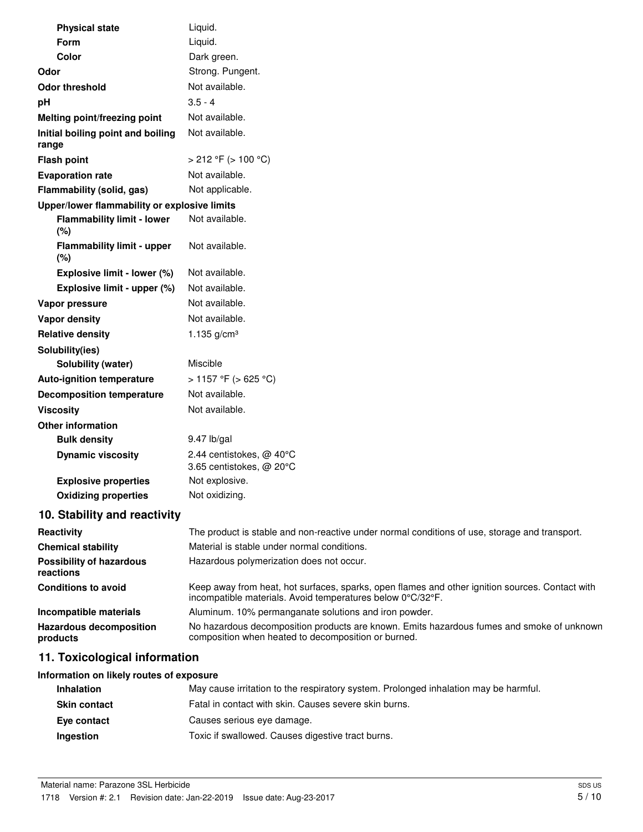| <b>Physical state</b>                        | Liquid.                                                                                                                                                       |
|----------------------------------------------|---------------------------------------------------------------------------------------------------------------------------------------------------------------|
| Form                                         | Liquid.                                                                                                                                                       |
| Color                                        | Dark green.                                                                                                                                                   |
| Odor                                         | Strong. Pungent.                                                                                                                                              |
| <b>Odor threshold</b>                        | Not available.                                                                                                                                                |
| pH                                           | $3.5 - 4$                                                                                                                                                     |
| Melting point/freezing point                 | Not available.                                                                                                                                                |
| Initial boiling point and boiling<br>range   | Not available.                                                                                                                                                |
| <b>Flash point</b>                           | $>$ 212 °F ( $>$ 100 °C)                                                                                                                                      |
| <b>Evaporation rate</b>                      | Not available.                                                                                                                                                |
| Flammability (solid, gas)                    | Not applicable.                                                                                                                                               |
| Upper/lower flammability or explosive limits |                                                                                                                                                               |
| <b>Flammability limit - lower</b><br>(%)     | Not available.                                                                                                                                                |
| <b>Flammability limit - upper</b><br>(%)     | Not available.                                                                                                                                                |
| Explosive limit - lower (%)                  | Not available.                                                                                                                                                |
| Explosive limit - upper (%)                  | Not available.                                                                                                                                                |
| Vapor pressure                               | Not available.                                                                                                                                                |
| Vapor density                                | Not available.                                                                                                                                                |
| <b>Relative density</b>                      | 1.135 $g/cm3$                                                                                                                                                 |
| Solubility(ies)                              |                                                                                                                                                               |
| Solubility (water)                           | Miscible                                                                                                                                                      |
| <b>Auto-ignition temperature</b>             | > 1157 °F (> 625 °C)                                                                                                                                          |
| <b>Decomposition temperature</b>             | Not available.                                                                                                                                                |
| <b>Viscosity</b>                             | Not available.                                                                                                                                                |
| <b>Other information</b>                     |                                                                                                                                                               |
| <b>Bulk density</b>                          | 9.47 lb/gal                                                                                                                                                   |
| <b>Dynamic viscosity</b>                     | 2.44 centistokes, @ 40°C<br>3.65 centistokes, @ 20°C                                                                                                          |
| <b>Explosive properties</b>                  | Not explosive.                                                                                                                                                |
| <b>Oxidizing properties</b>                  | Not oxidizing.                                                                                                                                                |
| 10. Stability and reactivity                 |                                                                                                                                                               |
| Reactivity                                   | The product is stable and non-reactive under normal conditions of use, storage and transport.                                                                 |
| <b>Chemical stability</b>                    | Material is stable under normal conditions.                                                                                                                   |
| <b>Possibility of hazardous</b><br>reactions | Hazardous polymerization does not occur.                                                                                                                      |
| <b>Conditions to avoid</b>                   | Keep away from heat, hot surfaces, sparks, open flames and other ignition sources. Contact with<br>incompatible materials. Avoid temperatures below 0°C/32°F. |

| Incompatible materials         | Aluminum. 10% permanganate solutions and iron powder.                                     |
|--------------------------------|-------------------------------------------------------------------------------------------|
| <b>Hazardous decomposition</b> | No hazardous decomposition products are known. Emits hazardous fumes and smoke of unknown |
| products                       | composition when heated to decomposition or burned.                                       |

# **11. Toxicological information**

# **Information on likely routes of exposure**

| <b>Inhalation</b>   | May cause irritation to the respiratory system. Prolonged inhalation may be harmful. |
|---------------------|--------------------------------------------------------------------------------------|
| <b>Skin contact</b> | Fatal in contact with skin. Causes severe skin burns.                                |
| Eve contact         | Causes serious eye damage.                                                           |
| Ingestion           | Toxic if swallowed. Causes digestive tract burns.                                    |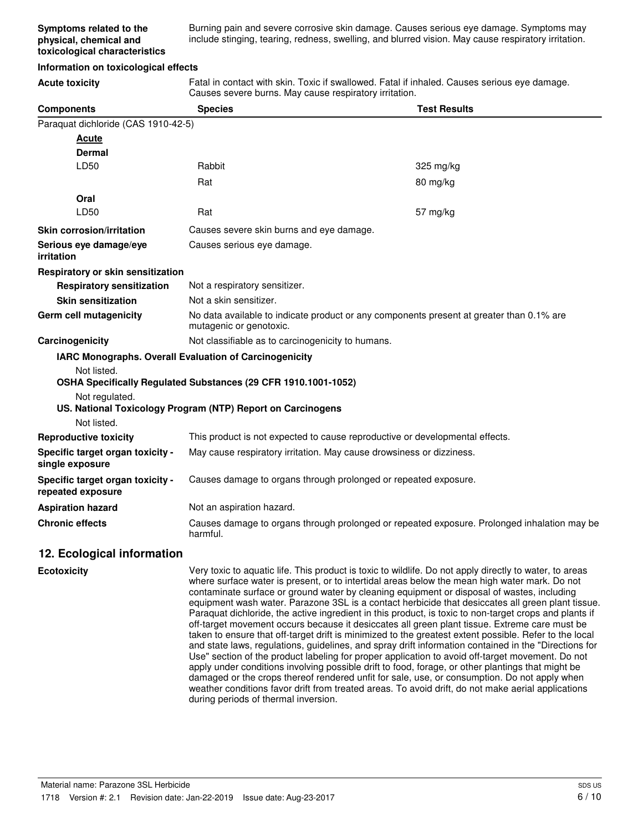Burning pain and severe corrosive skin damage. Causes serious eye damage. Symptoms may include stinging, tearing, redness, swelling, and blurred vision. May cause respiratory irritation.

#### **Information on toxicological effects**

**Acute toxicity** Fatal in contact with skin. Toxic if swallowed. Fatal if inhaled. Causes serious eye damage. Causes severe burns. May cause respiratory irritation.

| <b>Components</b>                                     | <b>Species</b>                                                                                                      | <b>Test Results</b>                                                                                     |  |
|-------------------------------------------------------|---------------------------------------------------------------------------------------------------------------------|---------------------------------------------------------------------------------------------------------|--|
| Paraquat dichloride (CAS 1910-42-5)                   |                                                                                                                     |                                                                                                         |  |
| <b>Acute</b>                                          |                                                                                                                     |                                                                                                         |  |
| Dermal                                                |                                                                                                                     |                                                                                                         |  |
| LD50                                                  | Rabbit                                                                                                              | 325 mg/kg                                                                                               |  |
|                                                       | Rat                                                                                                                 | 80 mg/kg                                                                                                |  |
| Oral                                                  |                                                                                                                     |                                                                                                         |  |
| LD50                                                  | Rat                                                                                                                 | 57 mg/kg                                                                                                |  |
| <b>Skin corrosion/irritation</b>                      | Causes severe skin burns and eye damage.                                                                            |                                                                                                         |  |
| Serious eye damage/eye<br>irritation                  | Causes serious eye damage.                                                                                          |                                                                                                         |  |
| Respiratory or skin sensitization                     |                                                                                                                     |                                                                                                         |  |
| <b>Respiratory sensitization</b>                      | Not a respiratory sensitizer.                                                                                       |                                                                                                         |  |
| <b>Skin sensitization</b>                             | Not a skin sensitizer.                                                                                              |                                                                                                         |  |
| Germ cell mutagenicity                                | No data available to indicate product or any components present at greater than 0.1% are<br>mutagenic or genotoxic. |                                                                                                         |  |
| Carcinogenicity                                       | Not classifiable as to carcinogenicity to humans.                                                                   |                                                                                                         |  |
|                                                       | IARC Monographs. Overall Evaluation of Carcinogenicity                                                              |                                                                                                         |  |
| Not listed.                                           |                                                                                                                     |                                                                                                         |  |
|                                                       | OSHA Specifically Regulated Substances (29 CFR 1910.1001-1052)                                                      |                                                                                                         |  |
| Not regulated.                                        | US. National Toxicology Program (NTP) Report on Carcinogens                                                         |                                                                                                         |  |
| Not listed.                                           |                                                                                                                     |                                                                                                         |  |
| <b>Reproductive toxicity</b>                          | This product is not expected to cause reproductive or developmental effects.                                        |                                                                                                         |  |
| Specific target organ toxicity -<br>single exposure   | May cause respiratory irritation. May cause drowsiness or dizziness.                                                |                                                                                                         |  |
| Specific target organ toxicity -<br>repeated exposure | Causes damage to organs through prolonged or repeated exposure.                                                     |                                                                                                         |  |
| <b>Aspiration hazard</b>                              | Not an aspiration hazard.                                                                                           |                                                                                                         |  |
| <b>Chronic effects</b>                                | Causes damage to organs through prolonged or repeated exposure. Prolonged inhalation may be<br>harmful.             |                                                                                                         |  |
| 12. Ecological information                            |                                                                                                                     |                                                                                                         |  |
| <b>Ecotoxicity</b>                                    |                                                                                                                     | Very toxic to aquatic life. This product is toxic to wildlife. Do not apply directly to water, to areas |  |

where surface water is present, or to intertidal areas below the mean high water mark. Do not contaminate surface or ground water by cleaning equipment or disposal of wastes, including equipment wash water. Parazone 3SL is a contact herbicide that desiccates all green plant tissue. Paraquat dichloride, the active ingredient in this product, is toxic to non-target crops and plants if off-target movement occurs because it desiccates all green plant tissue. Extreme care must be taken to ensure that off-target drift is minimized to the greatest extent possible. Refer to the local and state laws, regulations, guidelines, and spray drift information contained in the "Directions for Use" section of the product labeling for proper application to avoid off-target movement. Do not apply under conditions involving possible drift to food, forage, or other plantings that might be damaged or the crops thereof rendered unfit for sale, use, or consumption. Do not apply when weather conditions favor drift from treated areas. To avoid drift, do not make aerial applications during periods of thermal inversion.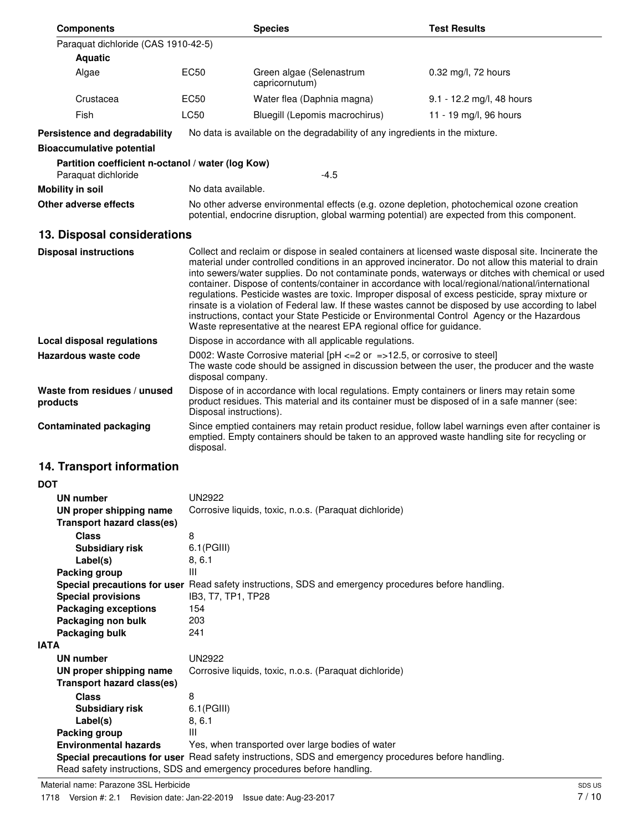| <b>Components</b>                                                        |                                                                                                                                                                                                                        | <b>Species</b>                                                                                                                                                                             | <b>Test Results</b>                                                                                                                                                                                                                                                                                                                                                                                                                                                                                                                                                                                                                                                                                                            |  |
|--------------------------------------------------------------------------|------------------------------------------------------------------------------------------------------------------------------------------------------------------------------------------------------------------------|--------------------------------------------------------------------------------------------------------------------------------------------------------------------------------------------|--------------------------------------------------------------------------------------------------------------------------------------------------------------------------------------------------------------------------------------------------------------------------------------------------------------------------------------------------------------------------------------------------------------------------------------------------------------------------------------------------------------------------------------------------------------------------------------------------------------------------------------------------------------------------------------------------------------------------------|--|
| Paraquat dichloride (CAS 1910-42-5)                                      |                                                                                                                                                                                                                        |                                                                                                                                                                                            |                                                                                                                                                                                                                                                                                                                                                                                                                                                                                                                                                                                                                                                                                                                                |  |
| <b>Aquatic</b>                                                           |                                                                                                                                                                                                                        |                                                                                                                                                                                            |                                                                                                                                                                                                                                                                                                                                                                                                                                                                                                                                                                                                                                                                                                                                |  |
| Algae                                                                    | EC50                                                                                                                                                                                                                   | Green algae (Selenastrum<br>capricornutum)                                                                                                                                                 | 0.32 mg/l, 72 hours                                                                                                                                                                                                                                                                                                                                                                                                                                                                                                                                                                                                                                                                                                            |  |
| Crustacea                                                                | <b>EC50</b>                                                                                                                                                                                                            | Water flea (Daphnia magna)                                                                                                                                                                 | 9.1 - 12.2 mg/l, 48 hours                                                                                                                                                                                                                                                                                                                                                                                                                                                                                                                                                                                                                                                                                                      |  |
| Fish                                                                     | <b>LC50</b>                                                                                                                                                                                                            | Bluegill (Lepomis macrochirus)                                                                                                                                                             | 11 - 19 mg/l, 96 hours                                                                                                                                                                                                                                                                                                                                                                                                                                                                                                                                                                                                                                                                                                         |  |
| Persistence and degradability                                            |                                                                                                                                                                                                                        | No data is available on the degradability of any ingredients in the mixture.                                                                                                               |                                                                                                                                                                                                                                                                                                                                                                                                                                                                                                                                                                                                                                                                                                                                |  |
| <b>Bioaccumulative potential</b>                                         |                                                                                                                                                                                                                        |                                                                                                                                                                                            |                                                                                                                                                                                                                                                                                                                                                                                                                                                                                                                                                                                                                                                                                                                                |  |
| Partition coefficient n-octanol / water (log Kow)<br>Paraquat dichloride |                                                                                                                                                                                                                        | $-4.5$                                                                                                                                                                                     |                                                                                                                                                                                                                                                                                                                                                                                                                                                                                                                                                                                                                                                                                                                                |  |
| <b>Mobility in soil</b>                                                  | No data available.                                                                                                                                                                                                     |                                                                                                                                                                                            |                                                                                                                                                                                                                                                                                                                                                                                                                                                                                                                                                                                                                                                                                                                                |  |
| Other adverse effects                                                    |                                                                                                                                                                                                                        | No other adverse environmental effects (e.g. ozone depletion, photochemical ozone creation<br>potential, endocrine disruption, global warming potential) are expected from this component. |                                                                                                                                                                                                                                                                                                                                                                                                                                                                                                                                                                                                                                                                                                                                |  |
| 13. Disposal considerations                                              |                                                                                                                                                                                                                        |                                                                                                                                                                                            |                                                                                                                                                                                                                                                                                                                                                                                                                                                                                                                                                                                                                                                                                                                                |  |
| <b>Disposal instructions</b>                                             |                                                                                                                                                                                                                        | Waste representative at the nearest EPA regional office for guidance.                                                                                                                      | Collect and reclaim or dispose in sealed containers at licensed waste disposal site. Incinerate the<br>material under controlled conditions in an approved incinerator. Do not allow this material to drain<br>into sewers/water supplies. Do not contaminate ponds, waterways or ditches with chemical or used<br>container. Dispose of contents/container in accordance with local/regional/national/international<br>regulations. Pesticide wastes are toxic. Improper disposal of excess pesticide, spray mixture or<br>rinsate is a violation of Federal law. If these wastes cannot be disposed by use according to label<br>instructions, contact your State Pesticide or Environmental Control Agency or the Hazardous |  |
| <b>Local disposal regulations</b>                                        |                                                                                                                                                                                                                        | Dispose in accordance with all applicable regulations.                                                                                                                                     |                                                                                                                                                                                                                                                                                                                                                                                                                                                                                                                                                                                                                                                                                                                                |  |
| Hazardous waste code                                                     | D002: Waste Corrosive material [pH $\leq$ =2 or =>12.5, or corrosive to steel]<br>The waste code should be assigned in discussion between the user, the producer and the waste<br>disposal company.                    |                                                                                                                                                                                            |                                                                                                                                                                                                                                                                                                                                                                                                                                                                                                                                                                                                                                                                                                                                |  |
| Waste from residues / unused<br>products                                 | Dispose of in accordance with local regulations. Empty containers or liners may retain some<br>product residues. This material and its container must be disposed of in a safe manner (see:<br>Disposal instructions). |                                                                                                                                                                                            |                                                                                                                                                                                                                                                                                                                                                                                                                                                                                                                                                                                                                                                                                                                                |  |
| <b>Contaminated packaging</b>                                            | Since emptied containers may retain product residue, follow label warnings even after container is<br>emptied. Empty containers should be taken to an approved waste handling site for recycling or<br>disposal.       |                                                                                                                                                                                            |                                                                                                                                                                                                                                                                                                                                                                                                                                                                                                                                                                                                                                                                                                                                |  |
| 14. Transport information                                                |                                                                                                                                                                                                                        |                                                                                                                                                                                            |                                                                                                                                                                                                                                                                                                                                                                                                                                                                                                                                                                                                                                                                                                                                |  |
| <b>DOT</b>                                                               |                                                                                                                                                                                                                        |                                                                                                                                                                                            |                                                                                                                                                                                                                                                                                                                                                                                                                                                                                                                                                                                                                                                                                                                                |  |
| <b>UN number</b>                                                         | <b>UN2922</b>                                                                                                                                                                                                          |                                                                                                                                                                                            |                                                                                                                                                                                                                                                                                                                                                                                                                                                                                                                                                                                                                                                                                                                                |  |
| UN proper shipping name                                                  | Corrosive liquids, toxic, n.o.s. (Paraquat dichloride)                                                                                                                                                                 |                                                                                                                                                                                            |                                                                                                                                                                                                                                                                                                                                                                                                                                                                                                                                                                                                                                                                                                                                |  |
| <b>Transport hazard class(es)</b>                                        |                                                                                                                                                                                                                        |                                                                                                                                                                                            |                                                                                                                                                                                                                                                                                                                                                                                                                                                                                                                                                                                                                                                                                                                                |  |
| <b>Class</b>                                                             | 8                                                                                                                                                                                                                      |                                                                                                                                                                                            |                                                                                                                                                                                                                                                                                                                                                                                                                                                                                                                                                                                                                                                                                                                                |  |
| <b>Subsidiary risk</b>                                                   | 6.1(PGIII)                                                                                                                                                                                                             |                                                                                                                                                                                            |                                                                                                                                                                                                                                                                                                                                                                                                                                                                                                                                                                                                                                                                                                                                |  |
| Label(s)                                                                 | 8, 6.1                                                                                                                                                                                                                 |                                                                                                                                                                                            |                                                                                                                                                                                                                                                                                                                                                                                                                                                                                                                                                                                                                                                                                                                                |  |
| Packing group                                                            | $\mathbf{III}$                                                                                                                                                                                                         |                                                                                                                                                                                            |                                                                                                                                                                                                                                                                                                                                                                                                                                                                                                                                                                                                                                                                                                                                |  |
|                                                                          | Special precautions for user Read safety instructions, SDS and emergency procedures before handling.                                                                                                                   |                                                                                                                                                                                            |                                                                                                                                                                                                                                                                                                                                                                                                                                                                                                                                                                                                                                                                                                                                |  |
| <b>Special provisions</b>                                                | IB3, T7, TP1, TP28                                                                                                                                                                                                     |                                                                                                                                                                                            |                                                                                                                                                                                                                                                                                                                                                                                                                                                                                                                                                                                                                                                                                                                                |  |
| <b>Packaging exceptions</b>                                              | 154                                                                                                                                                                                                                    |                                                                                                                                                                                            |                                                                                                                                                                                                                                                                                                                                                                                                                                                                                                                                                                                                                                                                                                                                |  |
| Packaging non bulk                                                       | 203                                                                                                                                                                                                                    |                                                                                                                                                                                            |                                                                                                                                                                                                                                                                                                                                                                                                                                                                                                                                                                                                                                                                                                                                |  |
| Packaging bulk                                                           | 241                                                                                                                                                                                                                    |                                                                                                                                                                                            |                                                                                                                                                                                                                                                                                                                                                                                                                                                                                                                                                                                                                                                                                                                                |  |
| <b>IATA</b>                                                              |                                                                                                                                                                                                                        |                                                                                                                                                                                            |                                                                                                                                                                                                                                                                                                                                                                                                                                                                                                                                                                                                                                                                                                                                |  |
| UN number                                                                | <b>UN2922</b>                                                                                                                                                                                                          |                                                                                                                                                                                            |                                                                                                                                                                                                                                                                                                                                                                                                                                                                                                                                                                                                                                                                                                                                |  |
| UN proper shipping name<br>Transport hazard class(es)                    |                                                                                                                                                                                                                        | Corrosive liquids, toxic, n.o.s. (Paraquat dichloride)                                                                                                                                     |                                                                                                                                                                                                                                                                                                                                                                                                                                                                                                                                                                                                                                                                                                                                |  |
| <b>Class</b>                                                             | 8                                                                                                                                                                                                                      |                                                                                                                                                                                            |                                                                                                                                                                                                                                                                                                                                                                                                                                                                                                                                                                                                                                                                                                                                |  |
| <b>Subsidiary risk</b>                                                   | $6.1$ (PGIII)                                                                                                                                                                                                          |                                                                                                                                                                                            |                                                                                                                                                                                                                                                                                                                                                                                                                                                                                                                                                                                                                                                                                                                                |  |
| Label(s)                                                                 | 8, 6.1                                                                                                                                                                                                                 |                                                                                                                                                                                            |                                                                                                                                                                                                                                                                                                                                                                                                                                                                                                                                                                                                                                                                                                                                |  |
| <b>Packing group</b>                                                     | Ш                                                                                                                                                                                                                      |                                                                                                                                                                                            |                                                                                                                                                                                                                                                                                                                                                                                                                                                                                                                                                                                                                                                                                                                                |  |
| <b>Environmental hazards</b>                                             |                                                                                                                                                                                                                        | Yes, when transported over large bodies of water                                                                                                                                           |                                                                                                                                                                                                                                                                                                                                                                                                                                                                                                                                                                                                                                                                                                                                |  |
|                                                                          |                                                                                                                                                                                                                        | Special precautions for user Read safety instructions, SDS and emergency procedures before handling.<br>Read safety instructions, SDS and emergency procedures before handling.            |                                                                                                                                                                                                                                                                                                                                                                                                                                                                                                                                                                                                                                                                                                                                |  |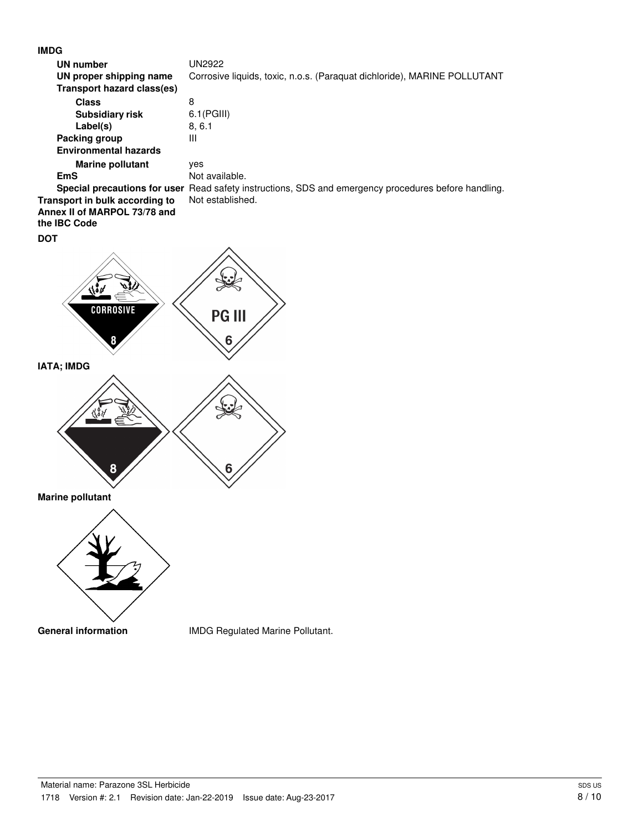| <b>IMDG</b>                       |                                                                                                      |
|-----------------------------------|------------------------------------------------------------------------------------------------------|
| <b>UN number</b>                  | <b>UN2922</b>                                                                                        |
| UN proper shipping name           | Corrosive liquids, toxic, n.o.s. (Paraquat dichloride), MARINE POLLUTANT                             |
| <b>Transport hazard class(es)</b> |                                                                                                      |
| <b>Class</b>                      | $\bf 8$                                                                                              |
| <b>Subsidiary risk</b>            | 6.1(PGIII)                                                                                           |
| Label(s)                          | 8, 6.1                                                                                               |
| <b>Packing group</b>              | Ш                                                                                                    |
| <b>Environmental hazards</b>      |                                                                                                      |
| <b>Marine pollutant</b>           | yes                                                                                                  |
| <b>EmS</b>                        | Not available.                                                                                       |
|                                   | Special precautions for user Read safety instructions, SDS and emergency procedures before handling. |
| Transport in bulk according to    | Not established.                                                                                     |
| Annex II of MARPOL 73/78 and      |                                                                                                      |
| the IBC Code                      |                                                                                                      |
| <b>DOT</b>                        |                                                                                                      |
|                                   |                                                                                                      |
|                                   |                                                                                                      |
|                                   |                                                                                                      |
|                                   |                                                                                                      |
|                                   |                                                                                                      |
| <b>CORROSIVE</b>                  |                                                                                                      |
|                                   | <b>PG III</b>                                                                                        |
|                                   |                                                                                                      |
| 8                                 | 6                                                                                                    |
|                                   |                                                                                                      |
| IATA; IMDG                        |                                                                                                      |
|                                   |                                                                                                      |
|                                   |                                                                                                      |
|                                   |                                                                                                      |
|                                   |                                                                                                      |
|                                   |                                                                                                      |
|                                   |                                                                                                      |
|                                   |                                                                                                      |
| 8                                 | 6                                                                                                    |
|                                   |                                                                                                      |
| <b>Marine pollutant</b>           |                                                                                                      |
|                                   |                                                                                                      |
|                                   |                                                                                                      |
|                                   |                                                                                                      |
|                                   |                                                                                                      |
|                                   |                                                                                                      |
|                                   |                                                                                                      |
|                                   |                                                                                                      |
|                                   |                                                                                                      |
|                                   |                                                                                                      |
|                                   |                                                                                                      |
| <b>General information</b>        | IMDG Regulated Marine Pollutant.                                                                     |
|                                   |                                                                                                      |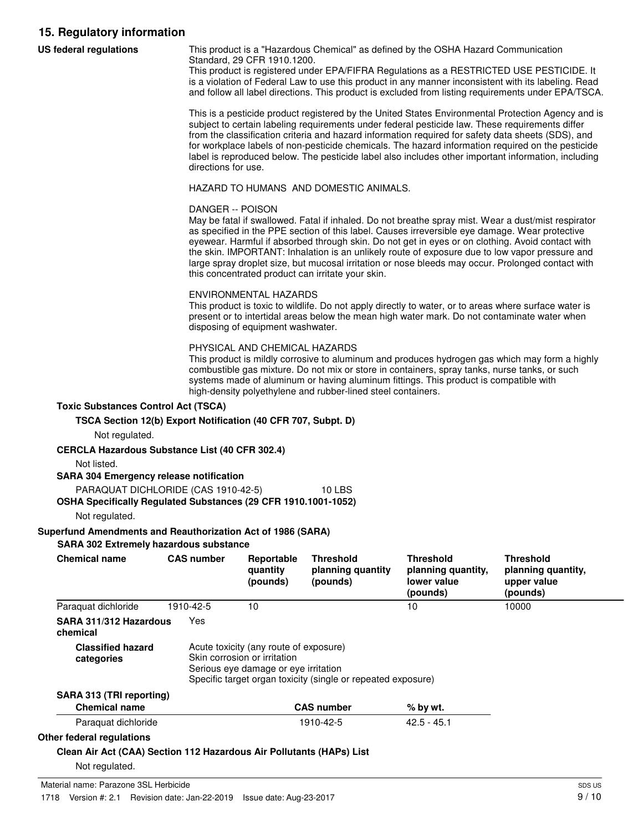# **15. Regulatory information**

| <b>US federal regulations</b>                                                                                                                                                                                                                                                                                                                                                             |                   | This product is a "Hazardous Chemical" as defined by the OSHA Hazard Communication<br>Standard, 29 CFR 1910.1200.<br>This product is registered under EPA/FIFRA Regulations as a RESTRICTED USE PESTICIDE. It<br>is a violation of Federal Law to use this product in any manner inconsistent with its labeling. Read<br>and follow all label directions. This product is excluded from listing requirements under EPA/TSCA.                                                                                                                                                                                                                                                                                                                                                                                                                                            |                                                   |                                                                   |                                                                   |  |  |  |  |
|-------------------------------------------------------------------------------------------------------------------------------------------------------------------------------------------------------------------------------------------------------------------------------------------------------------------------------------------------------------------------------------------|-------------------|-------------------------------------------------------------------------------------------------------------------------------------------------------------------------------------------------------------------------------------------------------------------------------------------------------------------------------------------------------------------------------------------------------------------------------------------------------------------------------------------------------------------------------------------------------------------------------------------------------------------------------------------------------------------------------------------------------------------------------------------------------------------------------------------------------------------------------------------------------------------------|---------------------------------------------------|-------------------------------------------------------------------|-------------------------------------------------------------------|--|--|--|--|
|                                                                                                                                                                                                                                                                                                                                                                                           |                   | This is a pesticide product registered by the United States Environmental Protection Agency and is<br>subject to certain labeling requirements under federal pesticide law. These requirements differ<br>from the classification criteria and hazard information required for safety data sheets (SDS), and<br>for workplace labels of non-pesticide chemicals. The hazard information required on the pesticide<br>label is reproduced below. The pesticide label also includes other important information, including<br>directions for use.                                                                                                                                                                                                                                                                                                                          |                                                   |                                                                   |                                                                   |  |  |  |  |
|                                                                                                                                                                                                                                                                                                                                                                                           |                   | HAZARD TO HUMANS AND DOMESTIC ANIMALS.                                                                                                                                                                                                                                                                                                                                                                                                                                                                                                                                                                                                                                                                                                                                                                                                                                  |                                                   |                                                                   |                                                                   |  |  |  |  |
|                                                                                                                                                                                                                                                                                                                                                                                           |                   | DANGER -- POISON<br>May be fatal if swallowed. Fatal if inhaled. Do not breathe spray mist. Wear a dust/mist respirator<br>as specified in the PPE section of this label. Causes irreversible eye damage. Wear protective<br>eyewear. Harmful if absorbed through skin. Do not get in eyes or on clothing. Avoid contact with<br>the skin. IMPORTANT: Inhalation is an unlikely route of exposure due to low vapor pressure and<br>large spray droplet size, but mucosal irritation or nose bleeds may occur. Prolonged contact with<br>this concentrated product can irritate your skin.<br><b>ENVIRONMENTAL HAZARDS</b><br>This product is toxic to wildlife. Do not apply directly to water, or to areas where surface water is<br>present or to intertidal areas below the mean high water mark. Do not contaminate water when<br>disposing of equipment washwater. |                                                   |                                                                   |                                                                   |  |  |  |  |
|                                                                                                                                                                                                                                                                                                                                                                                           |                   |                                                                                                                                                                                                                                                                                                                                                                                                                                                                                                                                                                                                                                                                                                                                                                                                                                                                         |                                                   |                                                                   |                                                                   |  |  |  |  |
| PHYSICAL AND CHEMICAL HAZARDS<br>This product is mildly corrosive to aluminum and produces hydrogen gas which may form a highly<br>combustible gas mixture. Do not mix or store in containers, spray tanks, nurse tanks, or such<br>systems made of aluminum or having aluminum fittings. This product is compatible with<br>high-density polyethylene and rubber-lined steel containers. |                   |                                                                                                                                                                                                                                                                                                                                                                                                                                                                                                                                                                                                                                                                                                                                                                                                                                                                         |                                                   |                                                                   |                                                                   |  |  |  |  |
| <b>Toxic Substances Control Act (TSCA)</b><br>TSCA Section 12(b) Export Notification (40 CFR 707, Subpt. D)                                                                                                                                                                                                                                                                               |                   |                                                                                                                                                                                                                                                                                                                                                                                                                                                                                                                                                                                                                                                                                                                                                                                                                                                                         |                                                   |                                                                   |                                                                   |  |  |  |  |
| Not regulated.<br><b>CERCLA Hazardous Substance List (40 CFR 302.4)</b><br>Not listed.<br><b>SARA 304 Emergency release notification</b>                                                                                                                                                                                                                                                  |                   |                                                                                                                                                                                                                                                                                                                                                                                                                                                                                                                                                                                                                                                                                                                                                                                                                                                                         |                                                   |                                                                   |                                                                   |  |  |  |  |
| PARAQUAT DICHLORIDE (CAS 1910-42-5)<br>OSHA Specifically Regulated Substances (29 CFR 1910.1001-1052)                                                                                                                                                                                                                                                                                     |                   |                                                                                                                                                                                                                                                                                                                                                                                                                                                                                                                                                                                                                                                                                                                                                                                                                                                                         | <b>10 LBS</b>                                     |                                                                   |                                                                   |  |  |  |  |
| Not regulated.                                                                                                                                                                                                                                                                                                                                                                            |                   |                                                                                                                                                                                                                                                                                                                                                                                                                                                                                                                                                                                                                                                                                                                                                                                                                                                                         |                                                   |                                                                   |                                                                   |  |  |  |  |
| Superfund Amendments and Reauthorization Act of 1986 (SARA)                                                                                                                                                                                                                                                                                                                               |                   |                                                                                                                                                                                                                                                                                                                                                                                                                                                                                                                                                                                                                                                                                                                                                                                                                                                                         |                                                   |                                                                   |                                                                   |  |  |  |  |
| SARA 302 Extremely hazardous substance<br><b>Chemical name</b>                                                                                                                                                                                                                                                                                                                            | <b>CAS number</b> | Reportable<br>quantity<br>(pounds)                                                                                                                                                                                                                                                                                                                                                                                                                                                                                                                                                                                                                                                                                                                                                                                                                                      | <b>Threshold</b><br>planning quantity<br>(pounds) | <b>Threshold</b><br>planning quantity,<br>lower value<br>(pounds) | <b>Threshold</b><br>planning quantity,<br>upper value<br>(pounds) |  |  |  |  |
| Paraquat dichloride                                                                                                                                                                                                                                                                                                                                                                       | 1910-42-5         | 10                                                                                                                                                                                                                                                                                                                                                                                                                                                                                                                                                                                                                                                                                                                                                                                                                                                                      |                                                   | 10                                                                | 10000                                                             |  |  |  |  |
| SARA 311/312 Hazardous<br>chemical                                                                                                                                                                                                                                                                                                                                                        | Yes               |                                                                                                                                                                                                                                                                                                                                                                                                                                                                                                                                                                                                                                                                                                                                                                                                                                                                         |                                                   |                                                                   |                                                                   |  |  |  |  |
| <b>Classified hazard</b><br>categories                                                                                                                                                                                                                                                                                                                                                    |                   | Acute toxicity (any route of exposure)<br>Skin corrosion or irritation<br>Serious eye damage or eye irritation<br>Specific target organ toxicity (single or repeated exposure)                                                                                                                                                                                                                                                                                                                                                                                                                                                                                                                                                                                                                                                                                          |                                                   |                                                                   |                                                                   |  |  |  |  |
| SARA 313 (TRI reporting)                                                                                                                                                                                                                                                                                                                                                                  |                   |                                                                                                                                                                                                                                                                                                                                                                                                                                                                                                                                                                                                                                                                                                                                                                                                                                                                         |                                                   |                                                                   |                                                                   |  |  |  |  |
| <b>Chemical name</b>                                                                                                                                                                                                                                                                                                                                                                      |                   |                                                                                                                                                                                                                                                                                                                                                                                                                                                                                                                                                                                                                                                                                                                                                                                                                                                                         | <b>CAS number</b>                                 | % by wt.                                                          |                                                                   |  |  |  |  |
| Paraquat dichloride                                                                                                                                                                                                                                                                                                                                                                       |                   |                                                                                                                                                                                                                                                                                                                                                                                                                                                                                                                                                                                                                                                                                                                                                                                                                                                                         | 1910-42-5                                         | $42.5 - 45.1$                                                     |                                                                   |  |  |  |  |
| Other federal regulations                                                                                                                                                                                                                                                                                                                                                                 |                   |                                                                                                                                                                                                                                                                                                                                                                                                                                                                                                                                                                                                                                                                                                                                                                                                                                                                         |                                                   |                                                                   |                                                                   |  |  |  |  |
|                                                                                                                                                                                                                                                                                                                                                                                           |                   |                                                                                                                                                                                                                                                                                                                                                                                                                                                                                                                                                                                                                                                                                                                                                                                                                                                                         |                                                   |                                                                   |                                                                   |  |  |  |  |

**Clean Air Act (CAA) Section 112 Hazardous Air Pollutants (HAPs) List**

Not regulated.